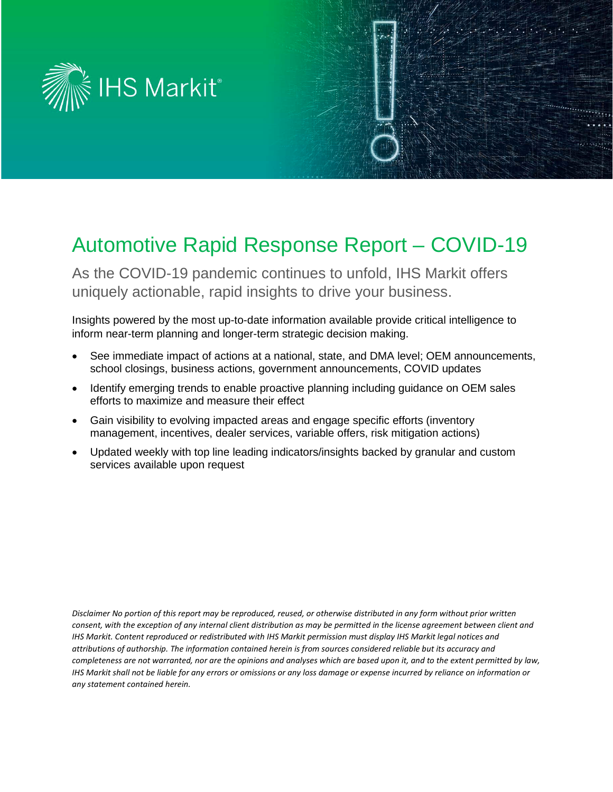

# Automotive Rapid Response Report – COVID-19

As the COVID-19 pandemic continues to unfold, IHS Markit offers uniquely actionable, rapid insights to drive your business.

Insights powered by the most up-to-date information available provide critical intelligence to inform near-term planning and longer-term strategic decision making.

- See immediate impact of actions at a national, state, and DMA level; OEM announcements, school closings, business actions, government announcements, COVID updates
- Identify emerging trends to enable proactive planning including guidance on OEM sales efforts to maximize and measure their effect
- Gain visibility to evolving impacted areas and engage specific efforts (inventory management, incentives, dealer services, variable offers, risk mitigation actions)
- Updated weekly with top line leading indicators/insights backed by granular and custom services available upon request

*Disclaimer No portion of this report may be reproduced, reused, or otherwise distributed in any form without prior written consent, with the exception of any internal client distribution as may be permitted in the license agreement between client and IHS Markit. Content reproduced or redistributed with IHS Markit permission must display IHS Markit legal notices and attributions of authorship. The information contained herein is from sources considered reliable but its accuracy and completeness are not warranted, nor are the opinions and analyses which are based upon it, and to the extent permitted by law, IHS Markit shall not be liable for any errors or omissions or any loss damage or expense incurred by reliance on information or any statement contained herein.*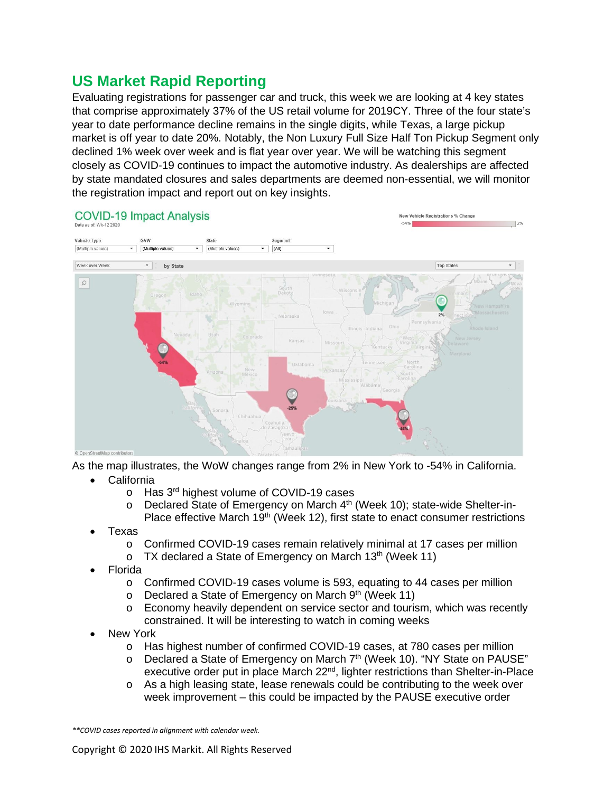## **US Market Rapid Reporting**

Evaluating registrations for passenger car and truck, this week we are looking at 4 key states that comprise approximately 37% of the US retail volume for 2019CY. Three of the four state's year to date performance decline remains in the single digits, while Texas, a large pickup market is off year to date 20%. Notably, the Non Luxury Full Size Half Ton Pickup Segment only declined 1% week over week and is flat year over year. We will be watching this segment closely as COVID-19 continues to impact the automotive industry. As dealerships are affected by state mandated closures and sales departments are deemed non-essential, we will monitor the registration impact and report out on key insights.



As the map illustrates, the WoW changes range from 2% in New York to -54% in California.

- **California** 
	- o Has 3rd highest volume of COVID-19 cases
	- o Declared State of Emergency on March 4<sup>th</sup> (Week 10); state-wide Shelter-in-Place effective March  $19<sup>th</sup>$  (Week 12), first state to enact consumer restrictions
- Texas
	- o Confirmed COVID-19 cases remain relatively minimal at 17 cases per million<br>o TX declared a State of Emergency on March 13<sup>th</sup> (Week 11)
	- TX declared a State of Emergency on March  $13<sup>th</sup>$  (Week 11)
- Florida
	- $\circ$  Confirmed COVID-19 cases volume is 593, equating to 44 cases per million
	- $\circ$  Declared a State of Emergency on March 9<sup>th</sup> (Week 11)
	- $\circ$  Economy heavily dependent on service sector and tourism, which was recently constrained. It will be interesting to watch in coming weeks
- **New York** 
	- o Has highest number of confirmed COVID-19 cases, at 780 cases per million
	- o Declared a State of Emergency on March 7<sup>th</sup> (Week 10). "NY State on PAUSE" executive order put in place March 22<sup>nd</sup>, lighter restrictions than Shelter-in-Place
	- o As a high leasing state, lease renewals could be contributing to the week over week improvement – this could be impacted by the PAUSE executive order

*\*\*COVID cases reported in alignment with calendar week.*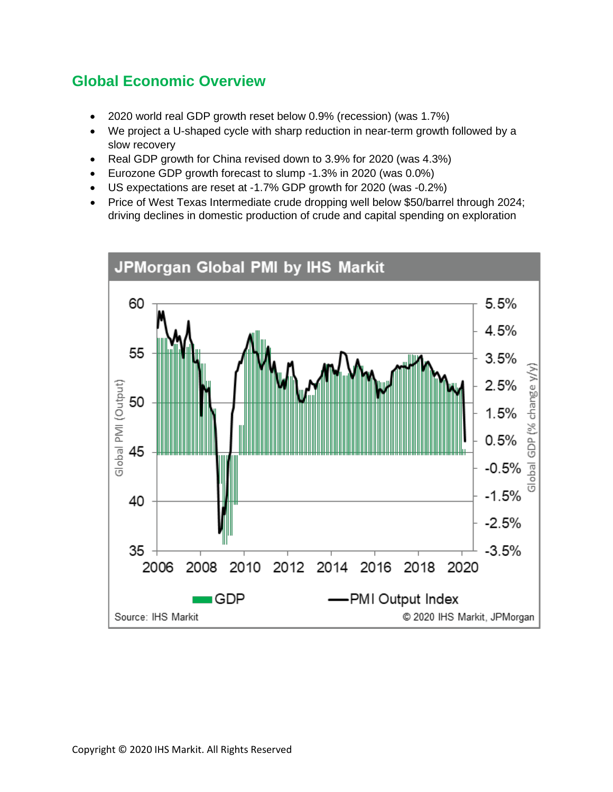## **Global Economic Overview**

- 2020 world real GDP growth reset below 0.9% (recession) (was 1.7%)
- We project a U-shaped cycle with sharp reduction in near-term growth followed by a slow recovery
- Real GDP growth for China revised down to 3.9% for 2020 (was 4.3%)
- Eurozone GDP growth forecast to slump -1.3% in 2020 (was 0.0%)
- US expectations are reset at -1.7% GDP growth for 2020 (was -0.2%)
- Price of West Texas Intermediate crude dropping well below \$50/barrel through 2024; driving declines in domestic production of crude and capital spending on exploration